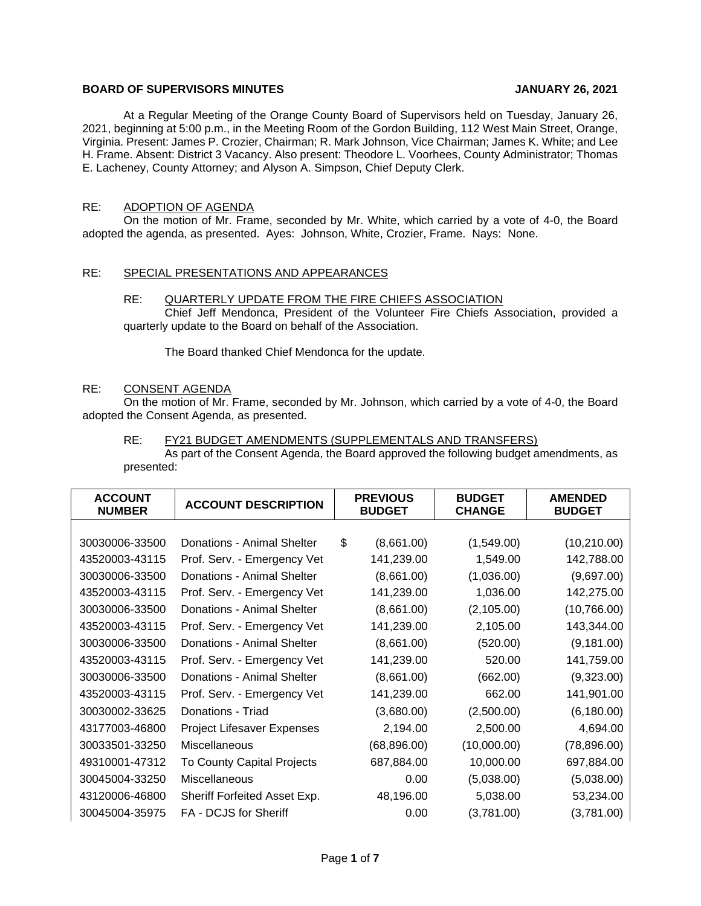## **BOARD OF SUPERVISORS MINUTES JANUARY 26, 2021**

At a Regular Meeting of the Orange County Board of Supervisors held on Tuesday, January 26, 2021, beginning at 5:00 p.m., in the Meeting Room of the Gordon Building, 112 West Main Street, Orange, Virginia. Present: James P. Crozier, Chairman; R. Mark Johnson, Vice Chairman; James K. White; and Lee H. Frame. Absent: District 3 Vacancy. Also present: Theodore L. Voorhees, County Administrator; Thomas E. Lacheney, County Attorney; and Alyson A. Simpson, Chief Deputy Clerk.

## RE: ADOPTION OF AGENDA

On the motion of Mr. Frame, seconded by Mr. White, which carried by a vote of 4-0, the Board adopted the agenda, as presented. Ayes: Johnson, White, Crozier, Frame. Nays: None.

### RE: SPECIAL PRESENTATIONS AND APPEARANCES

## RE: QUARTERLY UPDATE FROM THE FIRE CHIEFS ASSOCIATION

Chief Jeff Mendonca, President of the Volunteer Fire Chiefs Association, provided a quarterly update to the Board on behalf of the Association.

The Board thanked Chief Mendonca for the update.

#### RE: CONSENT AGENDA

On the motion of Mr. Frame, seconded by Mr. Johnson, which carried by a vote of 4-0, the Board adopted the Consent Agenda, as presented.

## RE: FY21 BUDGET AMENDMENTS (SUPPLEMENTALS AND TRANSFERS)

As part of the Consent Agenda, the Board approved the following budget amendments, as presented:

| <b>ACCOUNT</b><br><b>NUMBER</b> | <b>ACCOUNT DESCRIPTION</b>        | <b>PREVIOUS</b><br><b>BUDGET</b> | <b>BUDGET</b><br><b>CHANGE</b> | <b>AMENDED</b><br><b>BUDGET</b> |  |
|---------------------------------|-----------------------------------|----------------------------------|--------------------------------|---------------------------------|--|
|                                 |                                   |                                  |                                |                                 |  |
| 30030006-33500                  | Donations - Animal Shelter        | \$<br>(8,661.00)                 | (1,549.00)                     | (10, 210.00)                    |  |
| 43520003-43115                  | Prof. Serv. - Emergency Vet       | 141,239.00                       | 1,549.00                       | 142,788.00                      |  |
| 30030006-33500                  | Donations - Animal Shelter        | (8,661.00)                       | (1,036.00)                     | (9,697.00)                      |  |
| 43520003-43115                  | Prof. Serv. - Emergency Vet       | 141,239.00                       | 1,036.00                       | 142,275.00                      |  |
| 30030006-33500                  | Donations - Animal Shelter        | (8,661.00)                       | (2,105.00)                     | (10,766.00)                     |  |
| 43520003-43115                  | Prof. Serv. - Emergency Vet       | 141,239.00                       | 2,105.00                       | 143,344.00                      |  |
| 30030006-33500                  | Donations - Animal Shelter        | (8,661.00)                       | (520.00)                       | (9, 181.00)                     |  |
| 43520003-43115                  | Prof. Serv. - Emergency Vet       | 141,239.00                       | 520.00                         | 141,759.00                      |  |
| 30030006-33500                  | Donations - Animal Shelter        | (8,661.00)                       | (662.00)                       | (9,323.00)                      |  |
| 43520003-43115                  | Prof. Serv. - Emergency Vet       | 141,239.00                       | 662.00                         | 141,901.00                      |  |
| 30030002-33625                  | Donations - Triad                 | (3,680.00)                       | (2,500.00)                     | (6, 180.00)                     |  |
| 43177003-46800                  | <b>Project Lifesaver Expenses</b> | 2,194.00                         | 2,500.00                       | 4,694.00                        |  |
| 30033501-33250                  | Miscellaneous                     | (68, 896.00)                     | (10,000.00)                    | (78, 896.00)                    |  |
| 49310001-47312                  | To County Capital Projects        | 687,884.00                       | 10,000.00                      | 697,884.00                      |  |
| 30045004-33250                  | Miscellaneous                     | 0.00                             | (5,038.00)                     | (5,038.00)                      |  |
| 43120006-46800                  | Sheriff Forfeited Asset Exp.      | 48,196.00                        | 5,038.00                       | 53,234.00                       |  |
| 30045004-35975                  | FA - DCJS for Sheriff             | 0.00                             | (3,781.00)                     | (3,781.00)                      |  |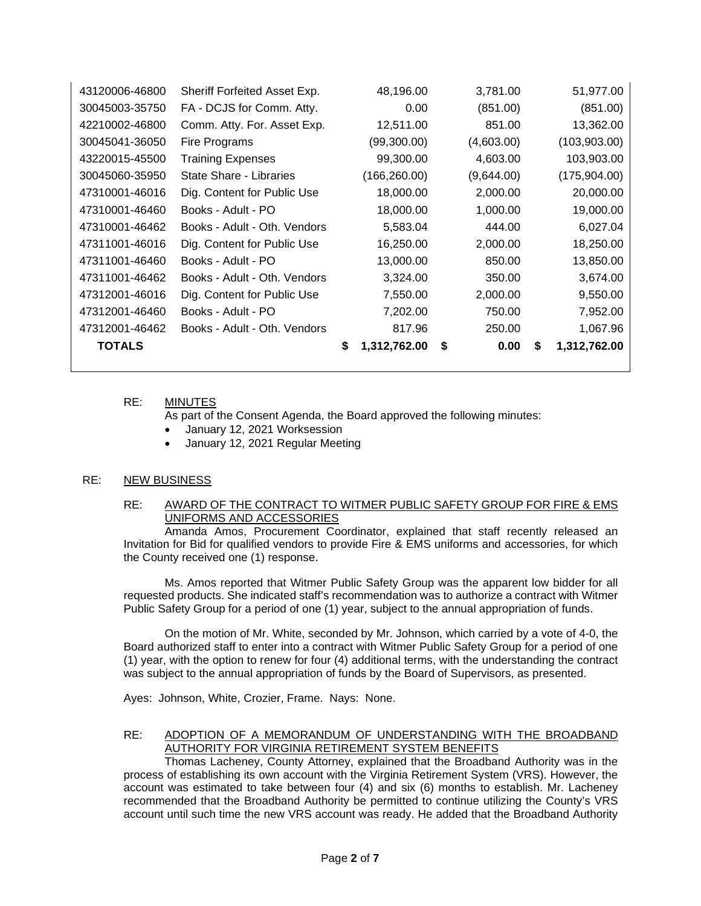| 43120006-46800 | Sheriff Forfeited Asset Exp. | 48,196.00          | 3,781.00   | 51,977.00          |
|----------------|------------------------------|--------------------|------------|--------------------|
| 30045003-35750 | FA - DCJS for Comm. Atty.    | 0.00               | (851.00)   | (851.00)           |
| 42210002-46800 | Comm. Atty. For. Asset Exp.  | 12,511.00          | 851.00     | 13,362.00          |
| 30045041-36050 | Fire Programs                | (99,300.00)        | (4,603.00) | (103,903.00)       |
| 43220015-45500 | <b>Training Expenses</b>     | 99,300.00          | 4,603.00   | 103,903.00         |
| 30045060-35950 | State Share - Libraries      | (166, 260.00)      | (9,644.00) | (175,904.00)       |
| 47310001-46016 | Dig. Content for Public Use  | 18,000.00          | 2,000.00   | 20,000.00          |
| 47310001-46460 | Books - Adult - PO           | 18,000.00          | 1,000.00   | 19,000.00          |
| 47310001-46462 | Books - Adult - Oth. Vendors | 5,583.04           | 444.00     | 6,027.04           |
| 47311001-46016 | Dig. Content for Public Use  | 16,250.00          | 2,000.00   | 18,250.00          |
| 47311001-46460 | Books - Adult - PO           | 13,000.00          | 850.00     | 13,850.00          |
| 47311001-46462 | Books - Adult - Oth. Vendors | 3,324.00           | 350.00     | 3,674.00           |
| 47312001-46016 | Dig. Content for Public Use  | 7,550.00           | 2,000.00   | 9,550.00           |
| 47312001-46460 | Books - Adult - PO           | 7,202.00           | 750.00     | 7,952.00           |
| 47312001-46462 | Books - Adult - Oth. Vendors | 817.96             | 250.00     | 1,067.96           |
| <b>TOTALS</b>  |                              | \$<br>1,312,762.00 | \$<br>0.00 | \$<br>1,312,762.00 |

## RE: MINUTES

As part of the Consent Agenda, the Board approved the following minutes:

- January 12, 2021 Worksession
- January 12, 2021 Regular Meeting

## RE: NEW BUSINESS

#### RE: AWARD OF THE CONTRACT TO WITMER PUBLIC SAFETY GROUP FOR FIRE & EMS UNIFORMS AND ACCESSORIES

Amanda Amos, Procurement Coordinator, explained that staff recently released an Invitation for Bid for qualified vendors to provide Fire & EMS uniforms and accessories, for which the County received one (1) response.

Ms. Amos reported that Witmer Public Safety Group was the apparent low bidder for all requested products. She indicated staff's recommendation was to authorize a contract with Witmer Public Safety Group for a period of one (1) year, subject to the annual appropriation of funds.

On the motion of Mr. White, seconded by Mr. Johnson, which carried by a vote of 4-0, the Board authorized staff to enter into a contract with Witmer Public Safety Group for a period of one (1) year, with the option to renew for four (4) additional terms, with the understanding the contract was subject to the annual appropriation of funds by the Board of Supervisors, as presented.

Ayes: Johnson, White, Crozier, Frame. Nays: None.

## RE: ADOPTION OF A MEMORANDUM OF UNDERSTANDING WITH THE BROADBAND AUTHORITY FOR VIRGINIA RETIREMENT SYSTEM BENEFITS

Thomas Lacheney, County Attorney, explained that the Broadband Authority was in the process of establishing its own account with the Virginia Retirement System (VRS). However, the account was estimated to take between four (4) and six (6) months to establish. Mr. Lacheney recommended that the Broadband Authority be permitted to continue utilizing the County's VRS account until such time the new VRS account was ready. He added that the Broadband Authority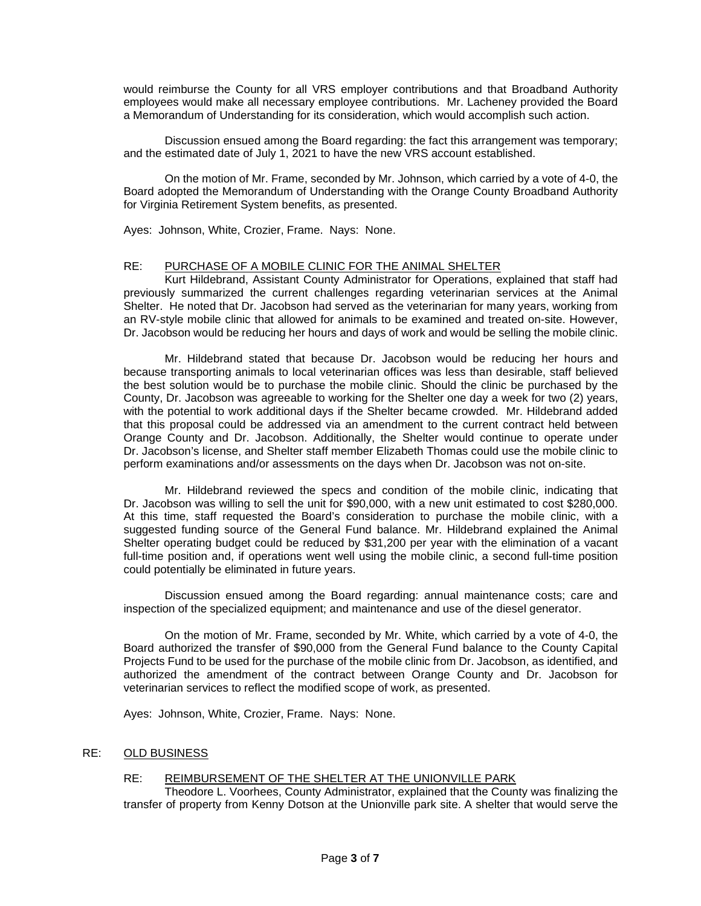would reimburse the County for all VRS employer contributions and that Broadband Authority employees would make all necessary employee contributions. Mr. Lacheney provided the Board a Memorandum of Understanding for its consideration, which would accomplish such action.

Discussion ensued among the Board regarding: the fact this arrangement was temporary; and the estimated date of July 1, 2021 to have the new VRS account established.

On the motion of Mr. Frame, seconded by Mr. Johnson, which carried by a vote of 4-0, the Board adopted the Memorandum of Understanding with the Orange County Broadband Authority for Virginia Retirement System benefits, as presented.

Ayes: Johnson, White, Crozier, Frame. Nays: None.

#### RE: PURCHASE OF A MOBILE CLINIC FOR THE ANIMAL SHELTER

Kurt Hildebrand, Assistant County Administrator for Operations, explained that staff had previously summarized the current challenges regarding veterinarian services at the Animal Shelter. He noted that Dr. Jacobson had served as the veterinarian for many years, working from an RV-style mobile clinic that allowed for animals to be examined and treated on-site. However, Dr. Jacobson would be reducing her hours and days of work and would be selling the mobile clinic.

Mr. Hildebrand stated that because Dr. Jacobson would be reducing her hours and because transporting animals to local veterinarian offices was less than desirable, staff believed the best solution would be to purchase the mobile clinic. Should the clinic be purchased by the County, Dr. Jacobson was agreeable to working for the Shelter one day a week for two (2) years, with the potential to work additional days if the Shelter became crowded. Mr. Hildebrand added that this proposal could be addressed via an amendment to the current contract held between Orange County and Dr. Jacobson. Additionally, the Shelter would continue to operate under Dr. Jacobson's license, and Shelter staff member Elizabeth Thomas could use the mobile clinic to perform examinations and/or assessments on the days when Dr. Jacobson was not on-site.

Mr. Hildebrand reviewed the specs and condition of the mobile clinic, indicating that Dr. Jacobson was willing to sell the unit for \$90,000, with a new unit estimated to cost \$280,000. At this time, staff requested the Board's consideration to purchase the mobile clinic, with a suggested funding source of the General Fund balance. Mr. Hildebrand explained the Animal Shelter operating budget could be reduced by \$31,200 per year with the elimination of a vacant full-time position and, if operations went well using the mobile clinic, a second full-time position could potentially be eliminated in future years.

Discussion ensued among the Board regarding: annual maintenance costs; care and inspection of the specialized equipment; and maintenance and use of the diesel generator.

On the motion of Mr. Frame, seconded by Mr. White, which carried by a vote of 4-0, the Board authorized the transfer of \$90,000 from the General Fund balance to the County Capital Projects Fund to be used for the purchase of the mobile clinic from Dr. Jacobson, as identified, and authorized the amendment of the contract between Orange County and Dr. Jacobson for veterinarian services to reflect the modified scope of work, as presented.

Ayes: Johnson, White, Crozier, Frame. Nays: None.

#### RE: OLD BUSINESS

#### RE: REIMBURSEMENT OF THE SHELTER AT THE UNIONVILLE PARK

Theodore L. Voorhees, County Administrator, explained that the County was finalizing the transfer of property from Kenny Dotson at the Unionville park site. A shelter that would serve the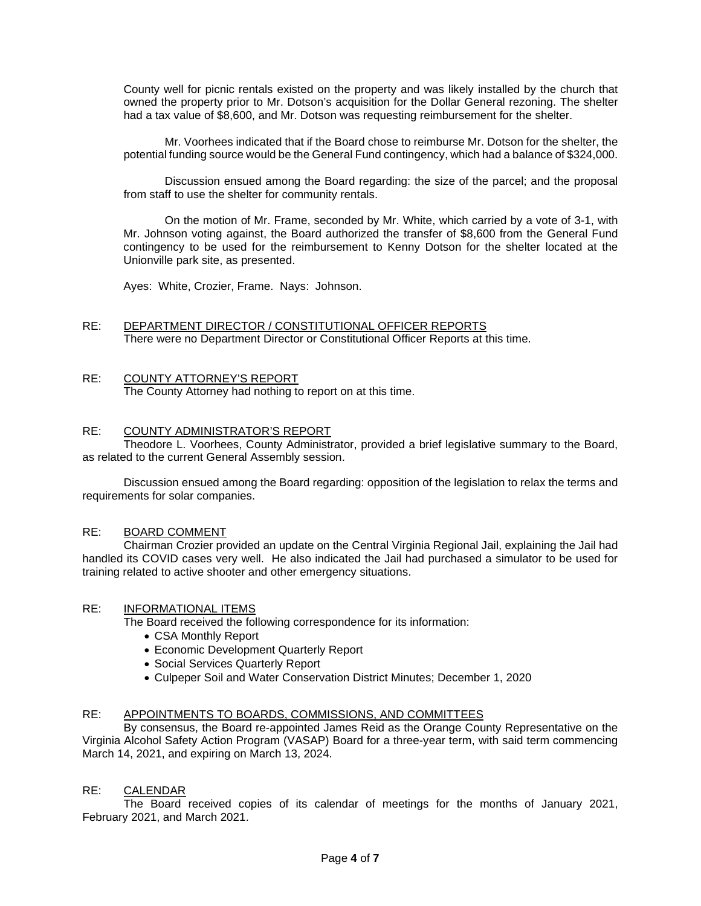County well for picnic rentals existed on the property and was likely installed by the church that owned the property prior to Mr. Dotson's acquisition for the Dollar General rezoning. The shelter had a tax value of \$8,600, and Mr. Dotson was requesting reimbursement for the shelter.

Mr. Voorhees indicated that if the Board chose to reimburse Mr. Dotson for the shelter, the potential funding source would be the General Fund contingency, which had a balance of \$324,000.

Discussion ensued among the Board regarding: the size of the parcel; and the proposal from staff to use the shelter for community rentals.

On the motion of Mr. Frame, seconded by Mr. White, which carried by a vote of 3-1, with Mr. Johnson voting against, the Board authorized the transfer of \$8,600 from the General Fund contingency to be used for the reimbursement to Kenny Dotson for the shelter located at the Unionville park site, as presented.

Ayes: White, Crozier, Frame. Nays: Johnson.

## RE: DEPARTMENT DIRECTOR / CONSTITUTIONAL OFFICER REPORTS There were no Department Director or Constitutional Officer Reports at this time.

#### RE: COUNTY ATTORNEY'S REPORT The County Attorney had nothing to report on at this time.

#### RE: COUNTY ADMINISTRATOR'S REPORT

Theodore L. Voorhees, County Administrator, provided a brief legislative summary to the Board, as related to the current General Assembly session.

Discussion ensued among the Board regarding: opposition of the legislation to relax the terms and requirements for solar companies.

#### RE: BOARD COMMENT

Chairman Crozier provided an update on the Central Virginia Regional Jail, explaining the Jail had handled its COVID cases very well. He also indicated the Jail had purchased a simulator to be used for training related to active shooter and other emergency situations.

#### RE: INFORMATIONAL ITEMS

The Board received the following correspondence for its information:

- CSA Monthly Report
- Economic Development Quarterly Report
- Social Services Quarterly Report
- Culpeper Soil and Water Conservation District Minutes; December 1, 2020

#### RE: APPOINTMENTS TO BOARDS, COMMISSIONS, AND COMMITTEES

By consensus, the Board re-appointed James Reid as the Orange County Representative on the Virginia Alcohol Safety Action Program (VASAP) Board for a three-year term, with said term commencing March 14, 2021, and expiring on March 13, 2024.

#### RE: CALENDAR

The Board received copies of its calendar of meetings for the months of January 2021, February 2021, and March 2021.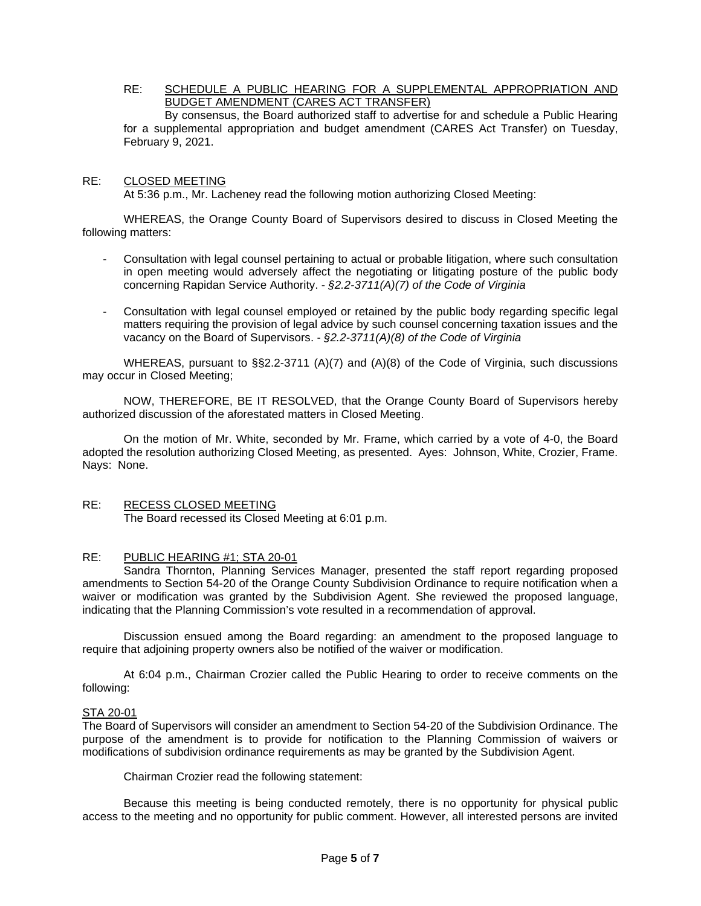RE: SCHEDULE A PUBLIC HEARING FOR A SUPPLEMENTAL APPROPRIATION AND BUDGET AMENDMENT (CARES ACT TRANSFER)

By consensus, the Board authorized staff to advertise for and schedule a Public Hearing for a supplemental appropriation and budget amendment (CARES Act Transfer) on Tuesday, February 9, 2021.

#### RE: CLOSED MEETING

At 5:36 p.m., Mr. Lacheney read the following motion authorizing Closed Meeting:

WHEREAS, the Orange County Board of Supervisors desired to discuss in Closed Meeting the following matters:

- Consultation with legal counsel pertaining to actual or probable litigation, where such consultation in open meeting would adversely affect the negotiating or litigating posture of the public body concerning Rapidan Service Authority. - *§2.2-3711(A)(7) of the Code of Virginia*
- Consultation with legal counsel employed or retained by the public body regarding specific legal matters requiring the provision of legal advice by such counsel concerning taxation issues and the vacancy on the Board of Supervisors. - *§2.2-3711(A)(8) of the Code of Virginia*

WHEREAS, pursuant to §§2.2-3711 (A)(7) and (A)(8) of the Code of Virginia, such discussions may occur in Closed Meeting;

NOW, THEREFORE, BE IT RESOLVED, that the Orange County Board of Supervisors hereby authorized discussion of the aforestated matters in Closed Meeting.

On the motion of Mr. White, seconded by Mr. Frame, which carried by a vote of 4-0, the Board adopted the resolution authorizing Closed Meeting, as presented. Ayes: Johnson, White, Crozier, Frame. Nays: None.

#### RE: RECESS CLOSED MEETING

The Board recessed its Closed Meeting at 6:01 p.m.

#### RE: PUBLIC HEARING #1; STA 20-01

Sandra Thornton, Planning Services Manager, presented the staff report regarding proposed amendments to Section 54-20 of the Orange County Subdivision Ordinance to require notification when a waiver or modification was granted by the Subdivision Agent. She reviewed the proposed language, indicating that the Planning Commission's vote resulted in a recommendation of approval.

Discussion ensued among the Board regarding: an amendment to the proposed language to require that adjoining property owners also be notified of the waiver or modification.

At 6:04 p.m., Chairman Crozier called the Public Hearing to order to receive comments on the following:

#### STA 20-01

The Board of Supervisors will consider an amendment to Section 54-20 of the Subdivision Ordinance. The purpose of the amendment is to provide for notification to the Planning Commission of waivers or modifications of subdivision ordinance requirements as may be granted by the Subdivision Agent.

Chairman Crozier read the following statement:

Because this meeting is being conducted remotely, there is no opportunity for physical public access to the meeting and no opportunity for public comment. However, all interested persons are invited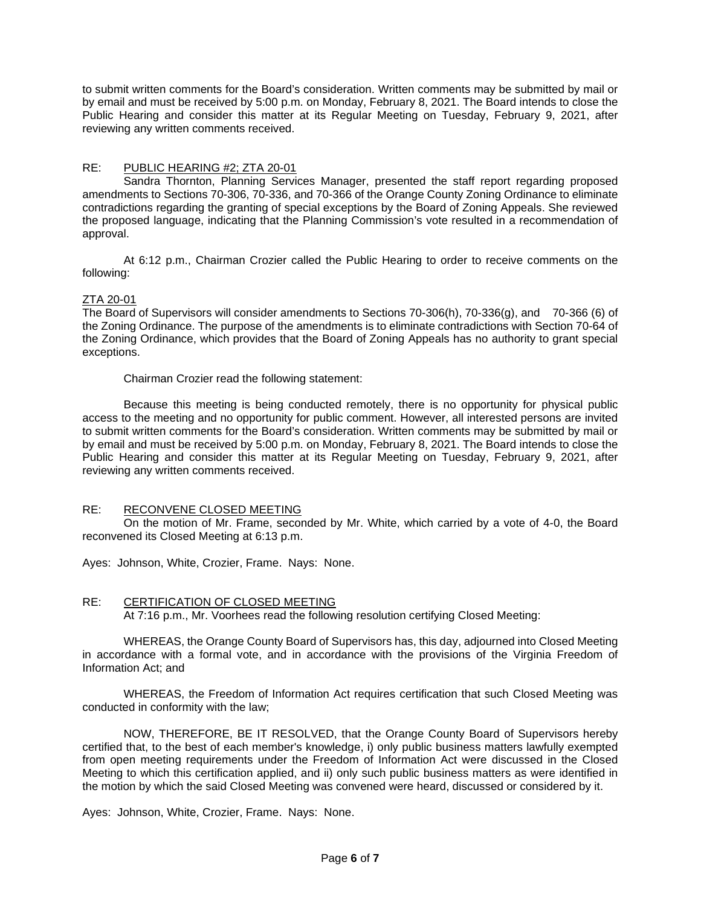to submit written comments for the Board's consideration. Written comments may be submitted by mail or by email and must be received by 5:00 p.m. on Monday, February 8, 2021. The Board intends to close the Public Hearing and consider this matter at its Regular Meeting on Tuesday, February 9, 2021, after reviewing any written comments received.

## RE: PUBLIC HEARING #2; ZTA 20-01

Sandra Thornton, Planning Services Manager, presented the staff report regarding proposed amendments to Sections 70-306, 70-336, and 70-366 of the Orange County Zoning Ordinance to eliminate contradictions regarding the granting of special exceptions by the Board of Zoning Appeals. She reviewed the proposed language, indicating that the Planning Commission's vote resulted in a recommendation of approval.

At 6:12 p.m., Chairman Crozier called the Public Hearing to order to receive comments on the following:

## ZTA 20-01

The Board of Supervisors will consider amendments to Sections 70-306(h), 70-336(g), and 70-366 (6) of the Zoning Ordinance. The purpose of the amendments is to eliminate contradictions with Section 70-64 of the Zoning Ordinance, which provides that the Board of Zoning Appeals has no authority to grant special exceptions.

Chairman Crozier read the following statement:

Because this meeting is being conducted remotely, there is no opportunity for physical public access to the meeting and no opportunity for public comment. However, all interested persons are invited to submit written comments for the Board's consideration. Written comments may be submitted by mail or by email and must be received by 5:00 p.m. on Monday, February 8, 2021. The Board intends to close the Public Hearing and consider this matter at its Regular Meeting on Tuesday, February 9, 2021, after reviewing any written comments received.

#### RE: RECONVENE CLOSED MEETING

On the motion of Mr. Frame, seconded by Mr. White, which carried by a vote of 4-0, the Board reconvened its Closed Meeting at 6:13 p.m.

Ayes: Johnson, White, Crozier, Frame. Nays: None.

# RE: CERTIFICATION OF CLOSED MEETING

At 7:16 p.m., Mr. Voorhees read the following resolution certifying Closed Meeting:

WHEREAS, the Orange County Board of Supervisors has, this day, adjourned into Closed Meeting in accordance with a formal vote, and in accordance with the provisions of the Virginia Freedom of Information Act; and

WHEREAS, the Freedom of Information Act requires certification that such Closed Meeting was conducted in conformity with the law;

NOW, THEREFORE, BE IT RESOLVED, that the Orange County Board of Supervisors hereby certified that, to the best of each member's knowledge, i) only public business matters lawfully exempted from open meeting requirements under the Freedom of Information Act were discussed in the Closed Meeting to which this certification applied, and ii) only such public business matters as were identified in the motion by which the said Closed Meeting was convened were heard, discussed or considered by it.

Ayes: Johnson, White, Crozier, Frame. Nays: None.